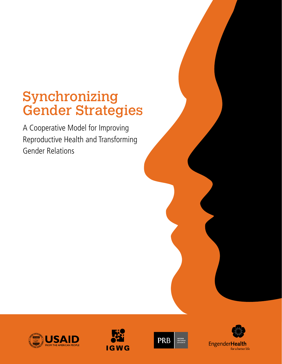# Synchronizing Gender Strategies

A Cooperative Model for Improving Reproductive Health and Transforming Gender Relations







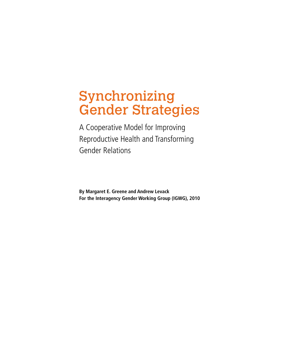# Synchronizing Gender Strategies

A Cooperative Model for Improving Reproductive Health and Transforming Gender Relations

**By Margaret E. Greene and Andrew Levack For the Interagency Gender Working Group (IGWG), 2010**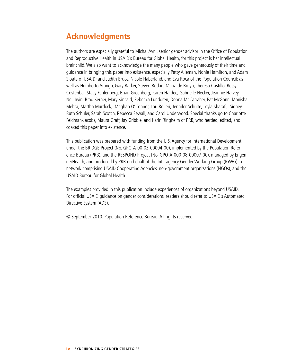## **Acknowledgments**

The authors are especially grateful to Michal Avni, senior gender advisor in the Office of Population and Reproductive Health in USAID's Bureau for Global Health, for this project is her intellectual brainchild. We also want to acknowledge the many people who gave generously of their time and guidance in bringing this paper into existence, especially Patty Alleman, Nonie Hamilton, and Adam Sloate of USAID; and Judith Bruce, Nicole Haberland, and Eva Roca of the Population Council; as well as Humberto Arango, Gary Barker, Steven Botkin, Maria de Bruyn, Theresa Castillo, Betsy Costenbar, Stacy Fehlenberg, Brian Greenberg, Karen Hardee, Gabrielle Hecker, Jeannie Harvey, Neil Irvin, Brad Kerner, Mary Kincaid, Rebecka Lundgren, Donna McCarraher, Pat McGann, Manisha Mehta, Martha Murdock, Meghan O'Connor, Lori Rolleri, Jennifer Schulte, Leyla Sharafi, Sidney Ruth Schuler, Sarah Scotch, Rebecca Sewall, and Carol Underwood. Special thanks go to Charlotte Feldman-Jacobs, Maura Graff, Jay Gribble, and Karin Ringheim of PRB, who herded, edited, and coaxed this paper into existence.

This publication was prepared with funding from the U.S. Agency for International Development under the BRIDGE Project (No. GPO-A-00-03-00004-00), implemented by the Population Reference Bureau (PRB), and the RESPOND Project (No. GPO-A-000-08-00007-00), managed by EngenderHealth, and produced by PRB on behalf of the Interagency Gender Working Group (IGWG), a network comprising USAID Cooperating Agencies, non-government organizations (NGOs), and the USAID Bureau for Global Health.

The examples provided in this publication include experiences of organizations beyond USAID. For official USAID guidance on gender considerations, readers should refer to USAID's Automated Directive System (ADS).

© September 2010. Population Reference Bureau. All rights reserved.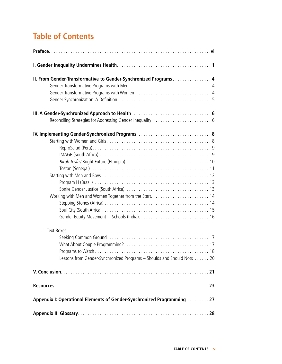## **Table of Contents**

| II. From Gender-Transformative to Gender-Synchronized Programs 4        |  |  |
|-------------------------------------------------------------------------|--|--|
|                                                                         |  |  |
|                                                                         |  |  |
|                                                                         |  |  |
|                                                                         |  |  |
|                                                                         |  |  |
|                                                                         |  |  |
|                                                                         |  |  |
|                                                                         |  |  |
|                                                                         |  |  |
|                                                                         |  |  |
|                                                                         |  |  |
|                                                                         |  |  |
|                                                                         |  |  |
|                                                                         |  |  |
|                                                                         |  |  |
|                                                                         |  |  |
| Text Boxes:                                                             |  |  |
|                                                                         |  |  |
|                                                                         |  |  |
| Lessons from Gender-Synchronized Programs - Shoulds and Should Nots  20 |  |  |
|                                                                         |  |  |
|                                                                         |  |  |
| Appendix I: Operational Elements of Gender-Synchronized Programming 27  |  |  |
|                                                                         |  |  |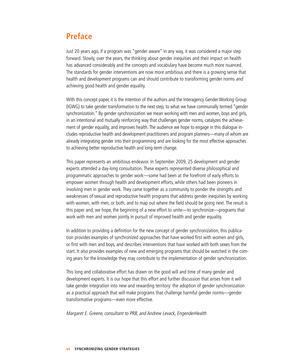### **Preface**

Just 20 years ago, if a program was "gender aware" in any way, it was considered a major step forward. Slowly, over the years, the thinking about gender inequities and their impact on health has advanced considerably and the concepts and vocabulary have become much more nuanced. The standards for gender interventions are now more ambitious and there is a growing sense that health and development programs can and should contribute to transforming gender norms and achieving good health and gender equality.

With this concept paper, it is the intention of the authors and the Interagency Gender Working Group (IGWG) to take gender transformation to the next step, to what we have communally termed "gender synchronization." By gender synchronization we mean working with men and women, boys and girls, in an intentional and mutually reinforcing way that challenges gender norms, catalyzes the achievement of gender equality, and improves health. The audience we hope to engage in this dialogue includes reproductive health and development practitioners and program planners—many of whom are already integrating gender into their programming and are looking for the most effective approaches to achieving better reproductive health and long-term change.

This paper represents an ambitious endeavor. In September 2009, 25 development and gender experts attended a day-long consultation. These experts represented diverse philosophical and programmatic approaches to gender work—some had been at the forefront of early efforts to empower women through health and development efforts, while others had been pioneers in involving men in gender work. They came together as a community to ponder the strengths and weaknesses of sexual and reproductive health programs that address gender inequities by working with women, with men, or both, and to map out where the field should be going next. The result is this paper and, we hope, the beginning of a new effort to unite—to synchronize—programs that work with men and women jointly in pursuit of improved health and gender equality.

In addition to providing a definition for the new concept of gender synchronization, this publication provides examples of synchronized approaches that have worked first with women and girls, or first with men and boys, and describes interventions that have worked with both sexes from the start. It also provides examples of new and emerging programs that should be watched in the coming years for the knowledge they may contribute to the implementation of gender synchronization.

This long and collaborative effort has drawn on the good will and time of many gender and development experts. It is our hope that this effort and further discussion that arises from it will take gender integration into new and rewarding territory: the adoption of gender synchronization as a practical approach that will make programs that challenge harmful gender norms—gender transformative programs—even more effective.

#### Margaret E. Greene, consultant to PRB, and Andrew Levack, EngenderHealth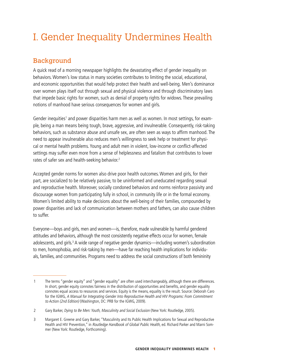## I. Gender Inequality Undermines Health

### Background

A quick read of a morning newspaper highlights the devastating effect of gender inequality on behaviors. Women's low status in many societies contributes to limiting the social, educational, and economic opportunities that would help protect their health and well-being. Men's dominance over women plays itself out through sexual and physical violence and through discriminatory laws that impede basic rights for women, such as denial of property rights for widows. These prevailing notions of manhood have serious consequences for women and girls.

Gender inequities<sup>1</sup> and power disparities harm men as well as women. In most settings, for example, being a man means being tough, brave, aggressive, and invulnerable. Consequently, risk-taking behaviors, such as substance abuse and unsafe sex, are often seen as ways to affirm manhood. The need to appear invulnerable also reduces men's willingness to seek help or treatment for physical or mental health problems. Young and adult men in violent, low-income or conflict-affected settings may suffer even more from a sense of helplessness and fatalism that contributes to lower rates of safer sex and health-seeking behavior.<sup>2</sup>

Accepted gender norms for women also drive poor health outcomes. Women and girls, for their part, are socialized to be relatively passive, to be uninformed and uneducated regarding sexual and reproductive health. Moreover, socially condoned behaviors and norms reinforce passivity and discourage women from participating fully in school, in community life or in the formal economy. Women's limited ability to make decisions about the well-being of their families, compounded by power disparities and lack of communication between mothers and fathers, can also cause children to suffer.

Everyone—boys and girls, men and women—is, therefore, made vulnerable by harmful gendered attitudes and behaviors, although the most consistently negative effects occur for women, female adolescents, and girls.<sup>3</sup> A wide range of negative gender dynamics—including women's subordination to men, homophobia, and risk-taking by men—have far reaching health implications for individuals, families, and communities. Programs need to address the social constructions of both femininity

<sup>1</sup> The terms "gender equity" and "gender equality" are often used interchangeably, although there are differences. In short, gender equity connotes fairness in the distribution of opportunities and benefits, and gender equality connotes equal access to resources and services. Equity is the means, equality is the result. Source: Deborah Caro for the IGWG, A Manual for Integrating Gender Into Reproductive Health and HIV Programs: From Commitment to Action (2nd Edition) (Washington, DC: PRB for the IGWG, 2009).

<sup>2</sup> Gary Barker, Dying to Be Men: Youth, Masculinity and Social Exclusion (New York: Routledge, 2005).

<sup>3</sup> Margaret E. Greene and Gary Barker, "Masculinity and Its Public Health Implications for Sexual and Reproductive Health and HIV Prevention," in Routledge Handbook of Global Public Health, ed. Richard Parker and Marni Sommer (New York: Routledge, Forthcoming).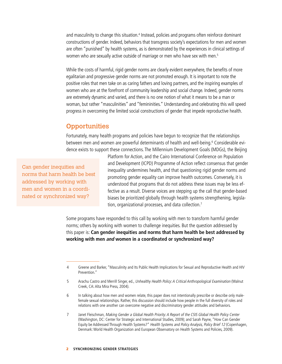and masculinity to change this situation.<sup>4</sup> Instead, policies and programs often reinforce dominant constructions of gender. Indeed, behaviors that transgress society's expectations for men and women are often "punished" by health systems, as is demonstrated by the experiences in clinical settings of women who are sexually active outside of marriage or men who have sex with men.<sup>5</sup>

While the costs of harmful, rigid gender norms are clearly evident everywhere, the benefits of more egalitarian and progressive gender norms are not promoted enough. It is important to note the positive roles that men take on as caring fathers and loving partners, and the inspiring examples of women who are at the forefront of community leadership and social change. Indeed, gender norms are extremely dynamic and varied, and there is no one notion of what it means to be a man or woman, but rather "masculinities" and "femininities." Understanding and celebrating this will speed progress in overcoming the limited social constructions of gender that impede reproductive health.

### **Opportunities**

Fortunately, many health programs and policies have begun to recognize that the relationships between men and women are powerful determinants of health and well-being.<sup>6</sup> Considerable evidence exists to support these connections. The Millennium Development Goals (MDGs), the Beijing

Can gender inequities and norms that harm health be best addressed by working with men and women in a coordinated or synchronized way?

Platform for Action, and the Cairo International Conference on Population and Development (ICPD) Programme of Action reflect consensus that gender inequality undermines health, and that questioning rigid gender norms and promoting gender equality can improve health outcomes. Conversely, it is understood that programs that do not address these issues may be less effective as a result. Diverse voices are stepping up the call that gender-based biases be prioritized globally through health systems strengthening, legislation, organizational processes, and data collection.<sup>7</sup>

Some programs have responded to this call by working with men to transform harmful gender norms; others by working with women to challenge inequities. But the question addressed by this paper is: **Can gender inequities and norms that harm health be best addressed by working with men and women in a coordinated or synchronized way?** 

<sup>4</sup> Greene and Barker, "Masculinity and Its Public Health Implications for Sexual and Reproductive Health and HIV Prevention<sup>"</sup>

<sup>5</sup> Arachu Castro and Merrill Singer, ed., Unhealthy Health Policy: A Critical Anthropological Examination (Walnut Creek, CA: Alta Mira Press, 2004).

<sup>6</sup> In talking about how men and women relate, this paper does not intentionally prescribe or describe only malefemale sexual relationships. Rather, this discussion should include how people in the full diversity of roles and relations with one another can overcome negative and discriminatory gender attitudes and behaviors.

<sup>7</sup> Janet Fleischman, Making Gender a Global Health Priority: A Report of the CSIS Global Health Policy Center (Washington, DC: Center for Strategic and International Studies, 2009); and Sarah Payne, "How Can Gender Equity be Addressed Through Health Systems?" Health Systems and Policy Analysis, Policy Brief 12 (Copenhagen, Denmark: World Health Organization and European Observatory on Health Systems and Policies, 2009).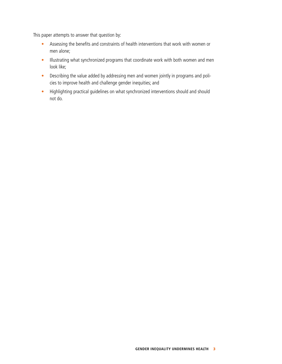This paper attempts to answer that question by:

- Assessing the benefits and constraints of health interventions that work with women or men alone;
- Illustrating what synchronized programs that coordinate work with both women and men look like;
- Describing the value added by addressing men and women jointly in programs and policies to improve health and challenge gender inequities; and
- Highlighting practical guidelines on what synchronized interventions should and should not do.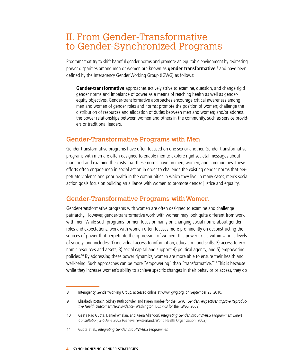## II. From Gender-Transformative to Gender-Synchronized Programs

Programs that try to shift harmful gender norms and promote an equitable environment by redressing power disparities among men or women are known as **gender transformative**, 8 and have been defined by the Interagency Gender Working Group (IGWG) as follows:

**Gender-transformative** approaches actively strive to examine, question, and change rigid gender norms and imbalance of power as a means of reaching health as well as genderequity objectives. Gender-transformative approaches encourage critical awareness among men and women of gender roles and norms; promote the position of women; challenge the distribution of resources and allocation of duties between men and women; and/or address the power relationships between women and others in the community, such as service providers or traditional leaders.9

### Gender-Transformative Programs with Men

Gender-transformative programs have often focused on one sex or another. Gender-transformative programs with men are often designed to enable men to explore rigid societal messages about manhood and examine the costs that these norms have on men, women, and communities. These efforts often engage men in social action in order to challenge the existing gender norms that perpetuate violence and poor health in the communities in which they live. In many cases, men's social action goals focus on building an alliance with women to promote gender justice and equality.

### Gender-Transformative Programs with Women

Gender-transformative programs with women are often designed to examine and challenge patriarchy. However, gender-transformative work with women may look quite different from work with men. While such programs for men focus primarily on changing social norms about gender roles and expectations, work with women often focuses more prominently on deconstructing the sources of power that perpetuate the oppression of women. This power exists within various levels of society, and includes: 1) individual access to information, education, and skills; 2) access to economic resources and assets; 3) social capital and support; 4) political agency; and 5) empowering policies.10 By addressing these power dynamics, women are more able to ensure their health and well-being. Such approaches can be more "empowering" than "transformative."11 This is because while they increase women's ability to achieve specific changes in their behavior or access, they do

<sup>8</sup> Interagency Gender Working Group, accessed online at <www.igwg.org>, on September 23, 2010.

<sup>9</sup> Elisabeth Rottach, Sidney Ruth Schuler, and Karen Hardee for the IGWG, Gender Perspectives Improve Reproductive Health Outcomes: New Evidence (Washington, DC: PRB for the IGWG, 2009).

<sup>10</sup> Geeta Rao Gupta, Daniel Whelan, and Keera Allendorf, Integrating Gender into HIV/AIDS Programmes: Expert Consultation, 3-5 June 2002 (Geneva, Switzerland: World Health Organization, 2003).

<sup>11</sup> Gupta et al., Integrating Gender into HIV/AIDS Programmes.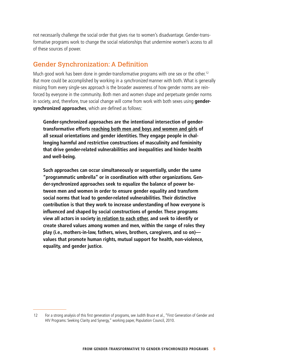not necessarily challenge the social order that gives rise to women's disadvantage. Gender-transformative programs work to change the social relationships that undermine women's access to all of these sources of power.

### Gender Synchronization: A Definition

Much good work has been done in gender-transformative programs with one sex or the other.<sup>12</sup> But more could be accomplished by working in a *synchronized* manner with both. What is generally missing from every single-sex approach is the broader awareness of how gender norms are reinforced by everyone in the community. Both men and women shape and perpetuate gender norms in society, and, therefore, true social change will come from work with both sexes using **gendersynchronized approaches**, which are defined as follows:

**Gender-synchronized approaches are the intentional intersection of gendertransformative efforts reaching both men and boys and women and girls of all sexual orientations and gender identities. They engage people in challenging harmful and restrictive constructions of masculinity and femininity that drive gender-related vulnerabilities and inequalities and hinder health and well-being.**

**Such approaches can occur simultaneously or sequentially, under the same "programmatic umbrella" or in coordination with other organizations. Gender-synchronized approaches seek to equalize the balance of power between men and women in order to ensure gender equality and transform social norms that lead to gender-related vulnerabilities. Their distinctive contribution is that they work to increase understanding of how everyone is influenced and shaped by social constructions of gender. These programs view all actors in society in relation to each other, and seek to identify or create shared values among women and men, within the range of roles they play (i.e., mothers-in-law, fathers, wives, brothers, caregivers, and so on) values that promote human rights, mutual support for health, non-violence, equality, and gender justice.**

<sup>12</sup> For a strong analysis of this first generation of programs, see Judith Bruce et al., "First Generation of Gender and HIV Programs: Seeking Clarity and Synergy," working paper, Population Council, 2010.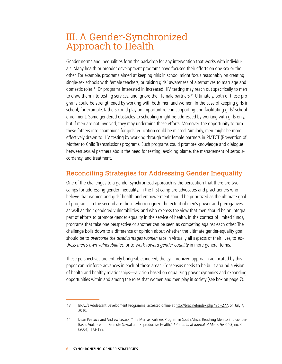## III. A Gender-Synchronized Approach to Health

Gender norms and inequalities form the backdrop for any intervention that works with individuals. Many health or broader development programs have focused their efforts on one sex or the other. For example, programs aimed at keeping girls in school might focus reasonably on creating single-sex schools with female teachers, or raising girls' awareness of alternatives to marriage and domestic roles.13 Or programs interested in increased HIV testing may reach out specifically to men to draw them into testing services, and ignore their female partners.<sup>14</sup> Ultimately, both of these programs could be strengthened by working with both men and women. In the case of keeping girls in school, for example, fathers could play an important role in supporting and facilitating girls' school enrollment. Some gendered obstacles to schooling might be addressed by working with girls only, but if men are not involved, they may undermine these efforts. Moreover, the opportunity to turn these fathers into champions for girls' education could be missed. Similarly, men might be more effectively drawn to HIV testing by working through their female partners in PMTCT (Prevention of Mother to Child Transmission) programs. Such programs could promote knowledge and dialogue between sexual partners about the need for testing, avoiding blame, the management of serodiscordancy, and treatment.

### Reconciling Strategies for Addressing Gender Inequality

One of the challenges to a gender-synchronized approach is the perception that there are two camps for addressing gender inequality. In the first camp are advocates and practitioners who believe that women and girls' health and empowerment should be prioritized as the ultimate goal of programs. In the second are those who recognize the extent of men's power and prerogatives as well as their gendered vulnerabilities, and who express the view that men should be an integral part of efforts to promote gender equality in the service of health. In the context of limited funds, programs that take one perspective or another can be seen as competing against each other. The challenge boils down to a difference of opinion about whether the ultimate gender-equality goal should be to overcome the disadvantages women face in virtually all aspects of their lives, to address men's own vulnerabilities, or to work toward gender equality in more general terms.

These perspectives are entirely bridgeable; indeed, the synchronized approach advocated by this paper can reinforce advances in each of these areas. Consensus needs to be built around a vision of health and healthy relationships—a vision based on equalizing power dynamics and expanding opportunities within and among the roles that women and men play in society (see box on page 7).

<sup>13</sup> BRAC's Adolescent Development Programme, accessed online at <http://brac.net/index.php?nid=277>, on July 7, 2010.

<sup>14</sup> Dean Peacock and Andrew Levack, "The Men as Partners Program in South Africa: Reaching Men to End Gender-Based Violence and Promote Sexual and Reproductive Health," International Journal of Men's Health 3, no. 3 (2004): 173-188.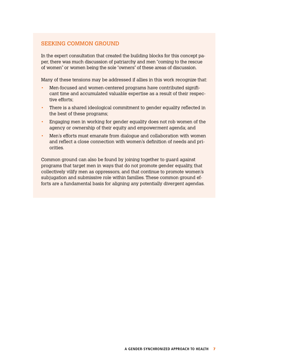#### SEEKING COMMON GROUND

In the expert consultation that created the building blocks for this concept paper, there was much discussion of patriarchy and men "coming to the rescue of women" or women being the sole "owners" of these areas of discussion.

Many of these tensions may be addressed if allies in this work recognize that:

- Men-focused and women-centered programs have contributed significant time and accumulated valuable expertise as a result of their respective efforts;
- There is a shared ideological commitment to gender equality reflected in the best of these programs;
- Engaging men in working for gender equality does not rob women of the agency or ownership of their equity and empowerment agenda; and
- Men's efforts must emanate from dialogue and collaboration with women and reflect a close connection with women's definition of needs and priorities.

Common ground can also be found by joining together to guard against programs that target men in ways that do not promote gender equality, that collectively vilify men as oppressors, and that continue to promote women's subjugation and submissive role within families. These common ground efforts are a fundamental basis for aligning any potentially divergent agendas.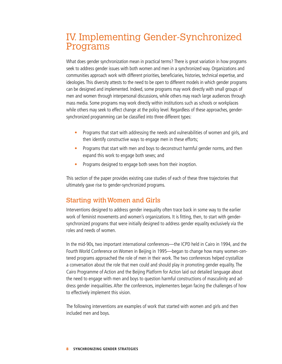## IV. Implementing Gender-Synchronized Programs

What does gender synchronization mean in practical terms? There is great variation in how programs seek to address gender issues with both women and men in a synchronized way. Organizations and communities approach work with different priorities, beneficiaries, histories, technical expertise, and ideologies. This diversity attests to the need to be open to different models in which gender programs can be designed and implemented. Indeed, some programs may work directly with small groups of men and women through interpersonal discussions, while others may reach large audiences through mass media. Some programs may work directly within institutions such as schools or workplaces while others may seek to effect change at the policy level. Regardless of these approaches, gendersynchronized programming can be classified into three different types:

- Programs that start with addressing the needs and vulnerabilities of women and girls, and then identify constructive ways to engage men in these efforts;
- Programs that start with men and boys to deconstruct harmful gender norms, and then expand this work to engage both sexes; and
- Programs designed to engage both sexes from their inception.

This section of the paper provides existing case studies of each of these three trajectories that ultimately gave rise to gender-synchronized programs.

### Starting with Women and Girls

Interventions designed to address gender inequality often trace back in some way to the earlier work of feminist movements and women's organizations. It is fitting, then, to start with gendersynchronized programs that were initially designed to address gender equality exclusively via the roles and needs of women.

In the mid-90s, two important international conferences—the ICPD held in Cairo in 1994, and the Fourth World Conference on Women in Beijing in 1995—began to change how many women-centered programs approached the role of men in their work. The two conferences helped crystallize a conversation about the role that men could and should play in promoting gender equality. The Cairo Programme of Action and the Beijing Platform for Action laid out detailed language about the need to engage with men and boys to question harmful constructions of masculinity and address gender inequalities. After the conferences, implementers began facing the challenges of how to effectively implement this vision.

The following interventions are examples of work that started with women and girls and then included men and boys.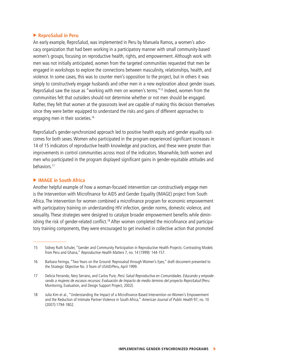#### **ReproSalud in Peru**

An early example, ReproSalud, was implemented in Peru by Manuela Ramos, a women's advocacy organization that had been working in a participatory manner with small community-based women's groups, focusing on reproductive health, rights, and empowerment. Although work with men was not initially anticipated, women from the targeted communities requested that men be engaged in workshops to explore the connections between masculinity, relationships, health, and violence. In some cases, this was to counter men's opposition to the project, but in others it was simply to constructively engage husbands and other men in a new exploration about gender issues. ReproSalud saw the issue as "working with men on women's terms."15 Indeed, women from the communities felt that outsiders should not determine whether or not men should be engaged. Rather, they felt that women at the grassroots level are capable of making this decision themselves since they were better equipped to understand the risks and gains of different approaches to engaging men in their societies.<sup>16</sup>

ReproSalud's gender-synchronized approach led to positive health equity and gender equality outcomes for both sexes. Women who participated in the program experienced significant increases in 14 of 15 indicators of reproductive health knowledge and practices, and these were greater than improvements in control communities across most of the indicators. Meanwhile, both women and men who participated in the program displayed significant gains in gender-equitable attitudes and behaviors.17

#### **EXAMPLE IN AFRICA**

Another helpful example of how a woman-focused intervention can constructively engage men is the Intervention with Microfinance for AIDS and Gender Equality (IMAGE) project from South Africa. The intervention for women combined a microfinance program for economic empowerment with participatory training on understanding HIV infection, gender norms, domestic violence, and sexuality. These strategies were designed to catalyze broader empowerment benefits while diminishing the risk of gender-related conflict.<sup>18</sup> After women completed the microfinance and participatory training components, they were encouraged to get involved in collective action that promoted

<sup>15</sup> Sidney Ruth Schuler, "Gender and Community Participation in Reproductive Health Projects: Contrasting Models from Peru and Ghana," Reproductive Health Matters 7, no. 14 (1999): 144-157.

<sup>16</sup> Barbara Feringa, "Two Years on the Ground: Reprosalud through Women's Eyes," draft document presented to the Strategic Objective No. 3 Team of USAID/Peru, April 1999.

<sup>17</sup> Delicia Ferrando, Nery Serrano, and Carlos Pure, Perú: Salud Reproductiva en Comunidades. Educando y empoderando a mujeres de escasos recursos: Evaluación de Impacto de medio término del proyecto ReproSalud (Peru: Monitoring, Evaluation, and Design Support Project, 2002).

<sup>18</sup> Julia Kim et al., "Understanding the Impact of a Microfinance-Based Intervention on Women's Empowerment and the Reduction of Intimate Partner Violence in South Africa," American Journal of Public Health 97, no. 10 (2007):1794-1802.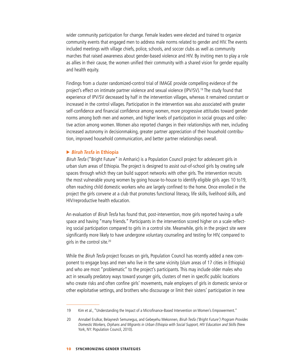wider community participation for change. Female leaders were elected and trained to organize community events that engaged men to address male norms related to gender and HIV. The events included meetings with village chiefs, police, schools, and soccer clubs as well as community marches that raised awareness about gender-based violence and HIV. By inviting men to play a role as allies in their cause, the women unified their community with a shared vision for gender equality and health equity.

Findings from a cluster randomized-control trial of IMAGE provide compelling evidence of the project's effect on intimate partner violence and sexual violence (IPV/SV).<sup>19</sup> The study found that experience of IPV/SV decreased by half in the intervention villages, whereas it remained constant or increased in the control villages. Participation in the intervention was also associated with greater self-confidence and financial confidence among women, more progressive attitudes toward gender norms among both men and women, and higher levels of participation in social groups and collective action among women. Women also reported changes in their relationships with men, including increased autonomy in decisionmaking, greater partner appreciation of their household contribution, improved household communication, and better partner relationships overall.

#### **Biruh Tesfa** in Ethiopia

Biruh Tesfa ("Bright Future" in Amharic) is a Population Council project for adolescent girls in urban slum areas of Ethiopia. The project is designed to assist out-of-school girls by creating safe spaces through which they can build support networks with other girls. The intervention recruits the most vulnerable young women by going house-to-house to identify eligible girls ages 10 to19, often reaching child domestic workers who are largely confined to the home. Once enrolled in the project the girls convene at a club that promotes functional literacy, life skills, livelihood skills, and HIV/reproductive health education.

An evaluation of Biruh Tesfa has found that, post-intervention, more girls reported having a safe space and having "many friends." Participants in the intervention scored higher on a scale reflecting social participation compared to girls in a control site. Meanwhile, girls in the project site were significantly more likely to have undergone voluntary counseling and testing for HIV, compared to girls in the control site.<sup>20</sup>

While the *Biruh Tesfa* project focuses on girls, Population Council has recently added a new component to engage boys and men who live in the same vicinity (slum areas of 17 cities in Ethiopia) and who are most "problematic" to the project's participants. This may include older males who act in sexually predatory ways toward younger girls, clusters of men in specific public locations who create risks and often confine girls' movements, male employers of girls in domestic service or other exploitative settings, and brothers who discourage or limit their sisters' participation in new

<sup>19</sup> Kim et al., "Understanding the Impact of a Microfinance-Based Intervention on Women's Empowerment."

<sup>20</sup> Annabel Erulkar, Belaynesh Semunegus, and Gebeyehu Mekonnen, Biruh Tesfa ('Bright Future') Program Provides Domestic Workers, Orphans and Migrants in Urban Ethiopia with Social Support, HIV Education and Skills (New York, NY: Population Council, 2010).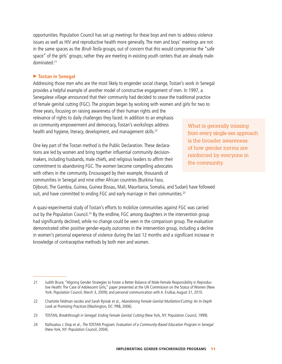opportunities. Population Council has set up meetings for these boys and men to address violence issues as well as HIV and reproductive health more generally. The men and boys' meetings are not in the same spaces as the *Biruh Tesfa* groups, out of concern that this would compromise the "safe" space" of the girls' groups; rather they are meeting in existing youth centers that are already maledominated.21

#### **Tostan in Senegal**

Addressing those men who are the most likely to engender social change, Tostan's work in Senegal provides a helpful example of another model of constructive engagement of men. In 1997, a Senegalese village announced that their community had decided to cease the traditional practice of female genital cutting (FGC). The program began by working with women and girls for two to three years, focusing on raising awareness of their human rights and the relevance of rights to daily challenges they faced. In addition to an emphasis on community empowerment and democracy, Tostan's workshops address health and hygiene, literacy, development, and management skills.<sup>22</sup>

One key part of the Tostan method is the Public Declaration. These declarations are led by women and bring together influential community decisionmakers, including husbands, male chiefs, and religious leaders to affirm their commitment to abandoning FGC. The women become compelling advocates with others in the community. Encouraged by their example, thousands of communities in Senegal and nine other African countries (Burkina Faso,

What is generally missing from every single-sex approach is the broader awareness of how gender norms are reinforced by everyone in the community.

Djibouti, The Gambia, Guinea, Guinea Bissau, Mali, Mauritania, Somalia, and Sudan) have followed suit, and have committed to ending FGC and early marriage in their communities.<sup>23</sup>

A quasi-experimental study of Tostan's efforts to mobilize communities against FGC was carried out by the Population Council.<sup>24</sup> By the endline, FGC among daughters in the intervention group had significantly declined, while no change could be seen in the comparison group. The evaluation demonstrated other positive gender-equity outcomes in the intervention group, including a decline in women's personal experience of violence during the last 12 months and a significant increase in knowledge of contraceptive methods by both men and women.

<sup>21</sup> Judith Bruce, "Aligning Gender Strategies to Foster a Better Balance of Male-Female Responsibility in Reproductive Health: The Case of Adolescent Girls," paper presented at the UN Commission on the Status of Women (New York: Population Council, March 3, 2009); and personal communication with A. Erulkar, August 31, 2010.

<sup>22</sup> Charlotte Feldman-Jacobs and Sarah Ryniak et al., Abandoning Female Genital Mutilation/Cutting: An In-Depth Look at Promising Practices (Washington, DC: PRB, 2006).

<sup>23</sup> TOSTAN, Breakthrough in Senegal: Ending Female Genital Cutting (New York, NY: Population Council, 1999).

<sup>24</sup> Nafissatou J. Diop et al., The TOSTAN Program: Evaluation of a Community-Based Education Program in Senegal (New York, NY: Population Council, 2004).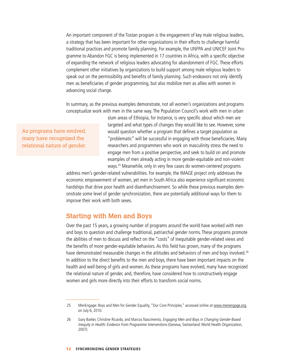An important component of the Tostan program is the engagement of key male religious leaders, a strategy that has been important for other organizations in their efforts to challenge harmful traditional practices and promote family planning. For example, the UNFPA and UNICEF Joint Programme to Abandon FGC is being implemented in 17 countries in Africa, with a specific objective of expanding the network of religious leaders advocating for abandonment of FGC. These efforts complement other initiatives by organizations to build support among male religious leaders to speak out on the permissibility and benefits of family planning. Such endeavors not only identify men as beneficiaries of gender programming, but also mobilize men as allies with women in advancing social change.

In summary, as the previous examples demonstrate, not all women's organizations and programs conceptualize work with men in the same way. The Population Council's work with men in urban

As programs have evolved, many have recognized the relational nature of gender.

slum areas of Ethiopia, for instance, is very specific about which men are targeted and what types of changes they would like to see. However, some would question whether a program that defines a target population as "problematic" will be successful in engaging with those beneficiaries. Many researchers and programmers who work on masculinity stress the need to engage men from a positive perspective, and seek to build on and promote examples of men already acting in more gender-equitable and non-violent ways.25 Meanwhile, only in very few cases do women-centered programs

address men's gender-related vulnerabilities. For example, the IMAGE project only addresses the economic empowerment of women, yet men in South Africa also experience significant economic hardships that drive poor health and disenfranchisement. So while these previous examples demonstrate some level of gender synchronization, there are potentially additional ways for them to improve their work with both sexes.

### Starting with Men and Boys

Over the past 15 years, a growing number of programs around the world have worked with men and boys to question and challenge traditional, patriarchal gender norms. These programs promote the abilities of men to discuss and reflect on the "costs" of inequitable gender-related views and the benefits of more gender-equitable behaviors. As this field has grown, many of the programs have demonstrated measurable changes in the attitudes and behaviors of men and boys involved.<sup>26</sup> In addition to the direct benefits to the men and boys, there have been important impacts on the health and well-being of girls and women. As these programs have evolved, many have recognized the relational nature of gender, and, therefore, have considered how to constructively engage women and girls more directly into their efforts to transform social norms.

<sup>25</sup> MenEngage: Boys and Men for Gender Equality, "Our Core Principles," accessed online at<www.menengage.org>, on July 6, 2010.

<sup>26</sup> Gary Barker, Christine Ricardo, and Marcos Nascimento, Engaging Men and Boys in Changing Gender-Based Inequity in Health: Evidence From Programme Interventions (Geneva, Switzerland: World Health Organization, 2007).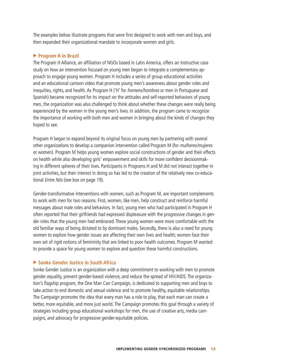The examples below illustrate programs that were first designed to work with men and boys, and then expanded their organizational mandate to incorporate women and girls.

#### **Program H in Brazil**

The Program H Alliance, an affiliation of NGOs based in Latin America, offers an instructive case study on how an intervention focused on young men began to integrate a complementary approach to engage young women. Program H includes a series of group educational activities and an educational cartoon video that promote young men's awareness about gender roles and inequities, rights, and health. As Program H ('H' for homens/hombres or men in Portuguese and Spanish) became recognized for its impact on the attitudes and self-reported behaviors of young men, the organization was also challenged to think about whether these changes were really being experienced by the women in the young men's lives. In addition, the program came to recognize the importance of working with both men and women in bringing about the kinds of changes they hoped to see.

Program H began to expand beyond its original focus on young men by partnering with several other organizations to develop a companion intervention called Program M (for mulheres/mujeres or women). Program M helps young women explore social constructions of gender and their effects on health while also developing girls' empowerment and skills for more confident decisionmaking in different spheres of their lives. Participants in Programs H and M did not interact together in joint activities, but their interest in doing so has led to the creation of the relatively new co-educational Entre Nós (see box on page 19).

Gender-transformative interventions with women, such as Program M, are important complements to work with men for two reasons. First, women, like men, help construct and reinforce harmful messages about male roles and behaviors. In fact, young men who had participated in Program H often reported that their girlfriends had expressed displeasure with the progressive changes in gender roles that the young men had embraced. These young women were more comfortable with the old familiar ways of being dictated to by dominant males. Secondly, there is also a need for young women to explore how gender issues are affecting their own lives and health; women face their own set of rigid notions of femininity that are linked to poor health outcomes. Program M wanted to provide a space for young women to explore and question these harmful constructions.

#### ▶ Sonke Gender Justice in South Africa

Sonke Gender Justice is an organization with a deep commitment to working with men to promote gender equality, prevent gender-based violence, and reduce the spread of HIV/AIDS. The organization's flagship program, the One Man Can Campaign, is dedicated to supporting men and boys to take action to end domestic and sexual violence and to promote healthy, equitable relationships. The Campaign promotes the idea that every man has a role to play, that each man can create a better, more equitable, and more just world. The Campaign promotes this goal through a variety of strategies including group educational workshops for men, the use of creative arts, media campaigns, and advocacy for progressive gender-equitable policies.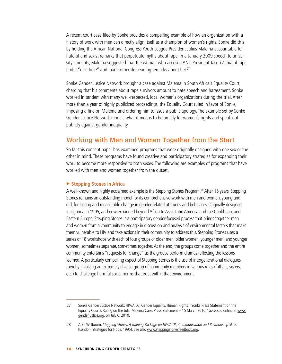A recent court case filed by Sonke provides a compelling example of how an organization with a history of work with men can directly align itself as a champion of women's rights. Sonke did this by holding the African National Congress Youth League President Julius Malema accountable for hateful and sexist remarks that perpetuate myths about rape. In a January 2009 speech to university students, Malema suggested that the woman who accused ANC President Jacob Zuma of rape had a "nice time" and made other demeaning remarks about her.<sup>27</sup>

Sonke Gender Justice Network brought a case against Malema in South Africa's Equality Court, charging that his comments about rape survivors amount to hate speech and harassment. Sonke worked in tandem with many well-respected, local women's organizations during the trial. After more than a year of highly publicized proceedings, the Equality Court ruled in favor of Sonke, imposing a fine on Malema and ordering him to issue a public apology. The example set by Sonke Gender Justice Network models what it means to be an ally for women's rights and speak out publicly against gender inequality.

### Working with Men and Women Together from the Start

So far this concept paper has examined programs that were originally designed with one sex or the other in mind. These programs have found creative and participatory strategies for expanding their work to become more responsive to both sexes. The following are examples of programs that have worked with men and women together from the outset.

#### ▶ Stepping Stones in Africa

A well-known and highly acclaimed example is the Stepping Stones Program.28 After 15 years, Stepping Stones remains an outstanding model for its comprehensive work with men and women, young and old, for lasting and measurable change in gender-related attitudes and behaviors. Originally designed in Uganda in 1995, and now expanded beyond Africa to Asia, Latin America and the Caribbean, and Eastern Europe, Stepping Stones is a participatory gender-focused process that brings together men and women from a community to engage in discussion and analysis of environmental factors that make them vulnerable to HIV and take actions in their community to address this. Stepping Stones uses a series of 18 workshops with each of four groups of older men, older women, younger men, and younger women, sometimes separate, sometimes together. At the end, the groups come together and the entire community entertains "requests for change" as the groups perform dramas reflecting the lessons learned. A particularly compelling aspect of Stepping Stones is the use of intergenerational dialogues, thereby involving an extremely diverse group of community members in various roles (fathers, sisters, etc.) to challenge harmful social norms that exist within that environment.

<sup>27</sup> Sonke Gender Justice Network: HIV/AIDS, Gender Equality, Human Rights, "Sonke Press Statement on the Equality Court's Ruling on the Julia Malema Case. Press Statement - 15 March 2010," accessed online at [www.](www.menengage.org) [genderjustice.org](www.menengage.org), on July 6, 2010.

<sup>28</sup> Alice Welbourn, Stepping Stones: A Training Package on HIV/AIDS, Communication and Relationship Skills (London: Strategies for Hope, 1995). See also<www.steppingstonesfeedback.org>.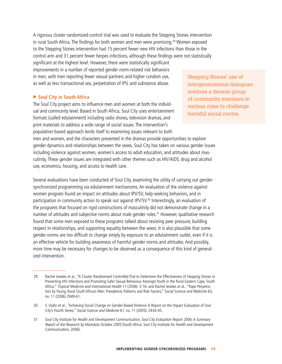A rigorous cluster randomized-control trial was used to evaluate the Stepping Stones intervention in rural South Africa. The findings for both women and men were promising.<sup>29</sup> Women exposed to the Stepping Stones intervention had 15 percent fewer new HIV infections than those in the control arm and 31 percent fewer herpes infections, although these findings were not statistically significant at the highest level. However, there were statistically significant improvements in a number of reported gender norm-related risk behaviors in men, with men reporting fewer sexual partners and higher condom use, as well as less transactional sex, perpetration of IPV, and substance abuse.

#### ▶ Soul City in South Africa

The Soul City project aims to influence men and women at both the individual and community level. Based in South Africa, Soul City uses entertainment formats (called edutainment) including radio shows, television dramas, and print materials to address a wide range of social issues. The intervention's population-based approach lends itself to examining issues relevant to both men and women, and the characters presented in the dramas provide opportunities to explore

gender dynamics and relationships between the sexes. Soul City has taken on various gender issues including violence against women, women's access to adult education, and attitudes about masculinity. These gender issues are integrated with other themes such as HIV/AIDS, drug and alcohol use, economics, housing, and access to health care.

Several evaluations have been conducted of Soul City, examining the utility of carrying out gendersynchronized programming via edutainment mechanisms. An evaluation of the violence against women program found an impact on attitudes about IPV/SV, help-seeking behaviors, and in participation in community action to speak out against IPV/SV.<sup>30</sup> Interestingly, an evaluation of the programs that focused on rigid constructions of masculinity did not demonstrate change in a number of attitudes and subjective norms about male gender roles.<sup>31</sup> However, qualitative research found that some men exposed to these programs talked about resisting peer pressure, building respect in relationships, and supporting equality between the sexes. It is also plausible that some gender norms are too difficult to change simply by exposure to an edutainment outlet, even if it is an effective vehicle for building awareness of harmful gender norms and attitudes. And possibly, more time may be necessary for changes to be observed as a consequence of this kind of generalized intervention.

Stepping Stones' use of intergenerational dialogues involves a diverse group of community members in various roles to challenge harmful social norms.

<sup>29</sup> Rachel Jewkes et al., "A Cluster Randomised Controlled Trial to Determine the Effectiveness of Stepping Stones in Preventing HIV Infections and Promoting Safer Sexual Behaviour Amongst Youth in the Rural Eastern Cape, South Africa," Tropical Medicine and International Health 11 (2006): 3-16; and Rachel Jewkes et al., "Rape Perpetration by Young, Rural South African Men: Prevalence, Patterns and Risk Factors," Social Science and Medicine 63, no. 11 (2006) 2949-61.

<sup>30</sup> S. Usdin et al., "Achieving Social Change on Gender-Based Violence: A Report on the Impact Evaluation of Soul City's Fourth Series," Social Science and Medicine 61, no. 11 (2005): 2434-45.

<sup>31</sup> Soul City Institute for Health and Development Communication, Soul City Evaluation Report 2006: A Summary Report of the Research by Markdata October 2005 (South Africa: Soul City Institute for Health and Development Communication, 2006).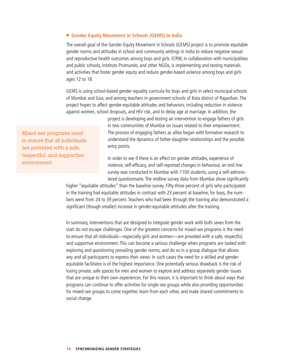#### **Gender Equity Movement in Schools (GEMS) in India**

The overall goal of the Gender Equity Movement in Schools (GEMS) project is to promote equitable gender norms and attitudes in school and community settings in India to reduce negative sexual and reproductive health outcomes among boys and girls. ICRW, in collaboration with municipalities and public schools, Instituto Promundo, and other NGOs, is implementing and testing materials and activities that foster gender equity and reduce gender-based violence among boys and girls ages 12 to 18.

GEMS is using school-based gender equality curricula for boys and girls in select municipal schools of Mumbai and Goa, and among teachers in government schools of Kota district of Rajasthan. The project hopes to affect gender-equitable attitudes and behaviors, including reduction in violence against women, school dropouts, and HIV risk, and to delay age at marriage. In addition, the

Mixed-sex programs need to ensure that all individuals are provided with a safe, respectful, and supportive environment.

project is developing and testing an intervention to engage fathers of girls in two communities of Mumbai on issues related to their empowerment. The process of engaging fathers as allies began with formative research to understand the dynamics of father-daughter relationships and the possible entry points.

In order to see if there is an effect on gender attitudes, experience of violence, self-efficacy, and self-reported changes in behaviour, an end line survey was conducted in Mumbai with 1100 students, using a self-administered questionnaire. The midline survey data from Mumbai show significantly

higher "equitable attitudes" than the baseline survey. Fifty-three percent of girls who participated in the training had equitable attitudes in contrast with 23 percent at baseline; for boys, the numbers went from 24 to 39 percent. Teachers who had been through the training also demonstrated a significant (though smaller) increase in gender-equitable attitudes after the training.

In summary, interventions that are designed to integrate gender work with both sexes from the start do not escape challenges. One of the greatest concerns for mixed-sex programs is the need to ensure that all individuals—especially girls and women—are provided with a safe, respectful, and supportive environment. This can become a serious challenge when programs are tasked with exploring and questioning prevailing gender norms, and do so in a group dialogue that allows any and all participants to express their views. In such cases the need for a skilled and genderequitable facilitator is of the highest importance. One potentially serious drawback is the risk of losing private, safe spaces for men and women to explore and address separately gender issues that are unique to their own experiences. For this reason, it is important to think about ways that programs can continue to offer activities for single-sex groups while also providing opportunities for mixed-sex groups to come together, learn from each other, and make shared commitments to social change.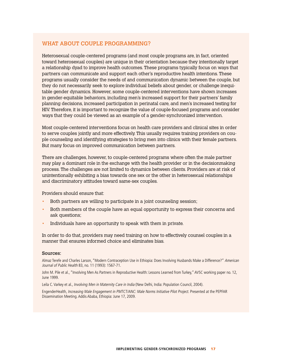#### WHAT ABOUT COUPLE PROGRAMMING?

Heterosexual couple-centered programs (and most couple programs are, in fact, oriented toward heterosexual couples) are unique in their orientation because they intentionally target a relationship dyad to improve health outcomes. These programs typically focus on ways that partners can communicate and support each other's reproductive health intentions. These programs usually consider the needs of and communication dynamic between the couple, but they do not necessarily seek to explore individual beliefs about gender, or challenge inequitable gender dynamics. However, some couple-centered interventions have shown increases in gender-equitable behaviors, including men's increased support for their partners' family planning decisions, increased participation in perinatal care, and men's increased testing for HIV. Therefore, it is important to recognize the value of couple-focused programs and consider ways that they could be viewed as an example of a gender-synchronized intervention.

Most couple-centered interventions focus on health care providers and clinical sites in order to serve couples jointly and more effectively. This usually requires training providers on couple counseling and identifying strategies to bring men into clinics with their female partners. But many focus on improved communication between partners.

There are challenges, however, to couple-centered programs where often the male partner may play a dominant role in the exchange with the health provider or in the decisionmaking process. The challenges are not limited to dynamics between clients. Providers are at risk of unintentionally exhibiting a bias towards one sex or the other in heterosexual relationships and discriminatory attitudes toward same-sex couples.

Providers should ensure that:

- Both partners are willing to participate in a joint counseling session;
- Both members of the couple have an equal opportunity to express their concerns and ask questions;
- Individuals have an opportunity to speak with them in private.

In order to do that, providers may need training on how to effectively counsel couples in a manner that ensures informed choice and eliminates bias.

#### Sources:

Almaz Terefe and Charles Larson, "Modern Contraception Use in Ethiopia: Does Involving Husbands Make a Difference?" American Journal of Public Health 83, no. 11 (1993): 1567-71.

John M. Pile et al., "Involving Men As Partners in Reproductive Health: Lessons Learned from Turkey," AVSC working paper no. 12, June 1999.

Leila C. Varkey et al., *Involving Men in Maternity Care in India* (New Delhi, India: Population Council, 2004).

EngenderHealth, Increasing Male Engagement in PMTCT/ANC: Male Norms Initiative Pilot Project. Presented at the PEPFAR Dissemination Meeting. Addis Ababa, Ethiopia: June 17, 2009.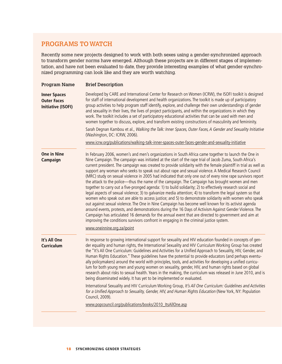### PROGRAMS TO WATCH

Recently some new projects designed to work with both sexes using a gender-synchronized approach to transform gender norms have emerged. Although these projects are in different stages of implementation, and have not been evaluated to date, they provide interesting examples of what gender-synchronized programming can look like and they are worth watching.

| <b>Program Name</b>                                                    | <b>Brief Description</b>                                                                                                                                                                                                                                                                                                                                                                                                                                                                                                                                                                                                                                                                                                                                                                                                                                                                                                                                                                                                                                                                                                                                                                                                                                                                                                                                                                                           |  |  |
|------------------------------------------------------------------------|--------------------------------------------------------------------------------------------------------------------------------------------------------------------------------------------------------------------------------------------------------------------------------------------------------------------------------------------------------------------------------------------------------------------------------------------------------------------------------------------------------------------------------------------------------------------------------------------------------------------------------------------------------------------------------------------------------------------------------------------------------------------------------------------------------------------------------------------------------------------------------------------------------------------------------------------------------------------------------------------------------------------------------------------------------------------------------------------------------------------------------------------------------------------------------------------------------------------------------------------------------------------------------------------------------------------------------------------------------------------------------------------------------------------|--|--|
| <b>Inner Spaces</b><br><b>Outer Faces</b><br><b>Initiative (ISOFI)</b> | Developed by CARE and International Center for Research on Women (ICRW), the ISOFI toolkit is designed<br>for staff of international development and health organizations. The toolkit is made up of participatory<br>group activities to help program staff identify, explore, and challenge their own understandings of gender<br>and sexuality in their lives, the lives of project participants, and within the organizations in which they<br>work. The toolkit includes a set of participatory educational activities that can be used with men and<br>women together to discuss, explore, and transform existing constructions of masculinity and femininity.                                                                                                                                                                                                                                                                                                                                                                                                                                                                                                                                                                                                                                                                                                                                               |  |  |
|                                                                        | Sarah Degnan Kambou et al., Walking the Talk: Inner Spaces, Outer Faces, A Gender and Sexuality Initiative<br>(Washington, DC: ICRW, 2006).                                                                                                                                                                                                                                                                                                                                                                                                                                                                                                                                                                                                                                                                                                                                                                                                                                                                                                                                                                                                                                                                                                                                                                                                                                                                        |  |  |
|                                                                        | www.icrw.org/publications/walking-talk-inner-spaces-outer-faces-gender-and-sexuality-initiative                                                                                                                                                                                                                                                                                                                                                                                                                                                                                                                                                                                                                                                                                                                                                                                                                                                                                                                                                                                                                                                                                                                                                                                                                                                                                                                    |  |  |
| <b>One in Nine</b><br>Campaign                                         | In February 2006, women's and men's organizations in South Africa came together to launch the One in<br>Nine Campaign. The campaign was initiated at the start of the rape trial of Jacob Zuma, South Africa's<br>current president. The campaign was created to provide solidarity with the female plaintiff in trial as well as<br>support any woman who seeks to speak out about rape and sexual violence. A Medical Research Council<br>(MRC) study on sexual violence in 2005 had indicated that only one out of every nine rape survivors report<br>the attack to the police—thus the name of the campaign. The Campaign has brought women and men<br>together to carry out a five-pronged agenda: 1) to build solidarity; 2) to effectively research social and<br>legal aspects of sexual violence; 3) to galvanize media attention; 4) to transform the legal system so that<br>women who speak out are able to access justice; and 5) to demonstrate solidarity with women who speak<br>out against sexual violence. The One in Nine Campaign has become well known for its activist agenda<br>around events, protests, and demonstrations during the 16 Days of Activism Against Gender Violence. The<br>Campaign has articulated 16 demands for the annual event that are directed to government and aim at<br>improving the conditions survivors confront in engaging in the criminal justice system. |  |  |
|                                                                        | www.oneinnine.org.za/ipoint                                                                                                                                                                                                                                                                                                                                                                                                                                                                                                                                                                                                                                                                                                                                                                                                                                                                                                                                                                                                                                                                                                                                                                                                                                                                                                                                                                                        |  |  |
| It's All One<br><b>Curriculum</b>                                      | In response to growing international support for sexuality and HIV education founded in concepts of gen-<br>der equality and human rights, the International Sexuality and HIV Curriculum Working Group has created<br>the "It's All One Curriculum: Guidelines and Activities for a Unified Approach to Sexuality, HIV, Gender, and<br>Human Rights Education." These guidelines have the potential to provide educators (and perhaps eventu-<br>ally policymakers) around the world with principles, tools, and activities for developing a unified curricu-<br>lum for both young men and young women on sexuality, gender, HIV, and human rights based on global<br>research about risks to sexual health. Years in the making, the curriculum was released in June 2010, and is<br>being disseminated widely. It has yet to be implemented or evaluated.                                                                                                                                                                                                                                                                                                                                                                                                                                                                                                                                                      |  |  |
|                                                                        | International Sexuality and HIV Curriculum Working Group, It's All One Curriculum: Guidelines and Activities<br>for a Unified Approach to Sexuality, Gender, HIV, and Human Rights Education (New York, NY: Population<br>Council, 2009).                                                                                                                                                                                                                                                                                                                                                                                                                                                                                                                                                                                                                                                                                                                                                                                                                                                                                                                                                                                                                                                                                                                                                                          |  |  |
|                                                                        | www.popcouncil.org/publications/books/2010 ItsAllOne.asp                                                                                                                                                                                                                                                                                                                                                                                                                                                                                                                                                                                                                                                                                                                                                                                                                                                                                                                                                                                                                                                                                                                                                                                                                                                                                                                                                           |  |  |
|                                                                        |                                                                                                                                                                                                                                                                                                                                                                                                                                                                                                                                                                                                                                                                                                                                                                                                                                                                                                                                                                                                                                                                                                                                                                                                                                                                                                                                                                                                                    |  |  |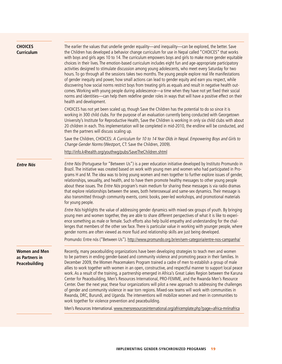| <b>CHOICES</b><br><b>Curriculum</b>                     | The earlier the values that underlie gender equality—and inequality—can be explored, the better. Save<br>the Children has developed a behavior change curriculum for use in Nepal called "CHOICES" that works<br>with boys and girls ages 10 to 14. The curriculum empowers boys and girls to make more gender equitable<br>choices in their lives. The emotion-based curriculum includes eight fun and age-appropriate participatory<br>activities designed to stimulate discussion among young adolescents, who meet every Saturday for two<br>hours. To go through all the sessions takes two months. The young people explore real life manifestations<br>of gender inequity and power, how small actions can lead to gender equity and earn you respect, while<br>discovering how social norms restrict boys from treating girls as equals and result in negative health out-<br>comes. Working with young people during adolescence-a time when they have not yet fixed their social<br>norms and identities—can help them redefine gender roles in ways that will have a positive effect on their<br>health and development. |  |  |  |
|---------------------------------------------------------|-------------------------------------------------------------------------------------------------------------------------------------------------------------------------------------------------------------------------------------------------------------------------------------------------------------------------------------------------------------------------------------------------------------------------------------------------------------------------------------------------------------------------------------------------------------------------------------------------------------------------------------------------------------------------------------------------------------------------------------------------------------------------------------------------------------------------------------------------------------------------------------------------------------------------------------------------------------------------------------------------------------------------------------------------------------------------------------------------------------------------------------|--|--|--|
|                                                         | CHOICES has not yet been scaled up, though Save the Children has the potential to do so since it is<br>working in 300 child clubs. For the purpose of an evaluation currently being conducted with Georgetown<br>University's Institute for Reproductive Health, Save the Children is working in only six child clubs with about<br>20 children in each. This implementation will be completed in mid-2010, the endline will be conducted, and<br>then the partners will discuss scaling up.                                                                                                                                                                                                                                                                                                                                                                                                                                                                                                                                                                                                                                        |  |  |  |
|                                                         | Save the Children, CHOICES: A Curriculum for 10 to 14 Year Olds in Nepal. Empowering Boys and Girls to<br>Change Gender Norms (Westport, CT: Save the Children, 2009).                                                                                                                                                                                                                                                                                                                                                                                                                                                                                                                                                                                                                                                                                                                                                                                                                                                                                                                                                              |  |  |  |
|                                                         | http://info.k4health.org/youthwg/pubs/SaveTheChildren.shtml                                                                                                                                                                                                                                                                                                                                                                                                                                                                                                                                                                                                                                                                                                                                                                                                                                                                                                                                                                                                                                                                         |  |  |  |
| <b>Entre Nós</b>                                        | Entre Nós (Portuguese for "Between Us") is a peer education initiative developed by Instituto Promundo in<br>Brazil. The initiative was created based on work with young men and women who had participated in Pro-<br>grams H and M. The idea was to bring young women and men together to further explore issues of gender,<br>relationships, sexuality, and health, and to have them promote healthy messages to other young people<br>about these issues. The <i>Entre Nós</i> program's main medium for sharing these messages is via radio dramas<br>that explore relationships between the sexes, both heterosexual and same-sex dynamics. Their message is<br>also transmitted through community events, comic books, peer-led workshops, and promotional materials<br>for young people.                                                                                                                                                                                                                                                                                                                                    |  |  |  |
|                                                         | Entre Nós highlights the value of addressing gender dynamics with mixed-sex groups of youth. By bringing<br>young men and women together, they are able to share different perspectives of what it is like to experi-<br>ence something as male or female. Such efforts also help build empathy and understanding for the chal-<br>lenges that members of the other sex face. There is particular value in working with younger people, where<br>gender norms are often viewed as more fluid and relationship skills are just being developed.                                                                                                                                                                                                                                                                                                                                                                                                                                                                                                                                                                                      |  |  |  |
|                                                         | Promundo: Entre nós ("Between Us"). http://www.promundo.org.br/en/sem-categoria/entre-nos-campanha/                                                                                                                                                                                                                                                                                                                                                                                                                                                                                                                                                                                                                                                                                                                                                                                                                                                                                                                                                                                                                                 |  |  |  |
| <b>Women and Men</b><br>as Partners in<br>Peacebuilding | Recently, many peacebuilding organizations have been developing strategies to teach men and women<br>to be partners in ending gender-based and community violence and promoting peace in their families. In<br>December 2009, the Women Peacemakers Program trained a cadre of men to establish a group of male<br>allies to work together with women in an open, constructive, and respectful manner to support local peace<br>work. As a result of the training, a partnership emerged in Africa's Great Lakes Region between the Karuna<br>Center for Peacebuilding, Men's Resources International, PRO-FEMME, and the Rwanda Men's Resource<br>Center. Over the next year, these four organizations will pilot a new approach to addressing the challenges<br>of gender and community violence in war torn regions. Mixed-sex teams will work with communities in<br>Rwanda, DRC, Burundi, and Uganda. The interventions will mobilize women and men in communities to<br>work together for violence prevention and peacebuilding.                                                                                              |  |  |  |
|                                                         | Men's Resources International. www.mensresourcesinternational.org/africemplate.php?page=africa-mriinafrica                                                                                                                                                                                                                                                                                                                                                                                                                                                                                                                                                                                                                                                                                                                                                                                                                                                                                                                                                                                                                          |  |  |  |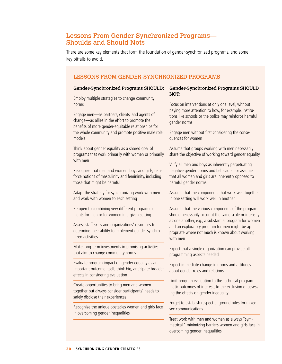### Lessons From Gender-Synchronized Programs— Shoulds and Should Nots

There are some key elements that form the foundation of gender-synchronized programs, and some key pitfalls to avoid.

#### Lessons from Gender-Synchronized Programs

#### Gender-Synchronized Programs SHOULD:

Employ multiple strategies to change community norms

Engage men—as partners, clients, and agents of change—as allies in the effort to promote the benefits of more gender-equitable relationships for the whole community and promote positive male role models

Think about gender equality as a shared goal of programs that work primarily with women or primarily with men

Recognize that men and women, boys and girls, reinforce notions of masculinity and femininity, including those that might be harmful

Adapt the strategy for synchronizing work with men and work with women to each setting

Be open to combining very different program elements for men or for women in a given setting

Assess staff skills and organizations' resources to determine their ability to implement gender-synchronized activities

Make long-term investments in promising activities that aim to change community norms

Evaluate program impact on gender equality as an important outcome itself; think big, anticipate broader effects in considering evaluation

Create opportunities to bring men and women together but always consider participants' needs to safely disclose their experiences

Recognize the unique obstacles women and girls face in overcoming gender inequalities

#### Gender-Synchronized Programs SHOULD NOT:

Focus on interventions at only one level, without paying more attention to how, for example, institutions like schools or the police may reinforce harmful gender norms

Engage men without first considering the consequences for women

Assume that groups working with men necessarily share the objective of working toward gender equality

Vilify all men and boys as inherently perpetuating negative gender norms and behaviors nor assume that all women and girls are inherently opposed to harmful gender norms

Assume that the components that work well together in one setting will work well in another

Assume that the various components of the program should necessarily occur at the same scale or intensity as one another, e.g., a substantial program for women and an exploratory program for men might be appropriate where not much is known about working with men

Expect that a single organization can provide all programming aspects needed

Expect immediate change in norms and attitudes about gender roles and relations

Limit program evaluation to the technical programmatic outcomes of interest, to the exclusion of assessing the effects on gender inequality

Forget to establish respectful ground rules for mixedsex communications

Treat work with men and women as always "symmetrical," minimizing barriers women and girls face in overcoming gender inequalities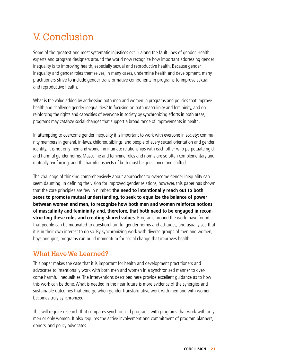## V. Conclusion

Some of the greatest and most systematic injustices occur along the fault lines of gender. Health experts and program designers around the world now recognize how important addressing gender inequality is to improving health, especially sexual and reproductive health. Because gender inequality and gender roles themselves, in many cases, undermine health and development, many practitioners strive to include gender-transformative components in programs to improve sexual and reproductive health.

What is the value added by addressing both men and women in programs and policies that improve health and challenge gender inequalities? In focusing on both masculinity and femininity, and on reinforcing the rights and capacities of everyone in society by synchronizing efforts in both areas, programs may catalyze social changes that support a broad range of improvements in health.

In attempting to overcome gender inequality it is important to work with everyone in society: community members in general, in-laws, children, siblings, and people of every sexual orientation and gender identity. It is not only men and women in intimate relationships with each other who perpetuate rigid and harmful gender norms. Masculine and feminine roles and norms are so often complementary and mutually reinforcing, and the harmful aspects of both must be questioned and shifted.

The challenge of thinking comprehensively about approaches to overcome gender inequality can seem daunting. In defining the vision for improved gender relations, however, this paper has shown that the core principles are few in number: **the need to intentionally reach out to both sexes to promote mutual understanding, to seek to equalize the balance of power between women and men, to recognize how both men and women reinforce notions of masculinity and femininity, and, therefore, that both need to be engaged in reconstructing these roles and creating shared values.** Programs around the world have found that people can be motivated to question harmful gender norms and attitudes, and usually see that it is in their own interest to do so. By synchronizing work with diverse groups of men and women, boys and girls, programs can build momentum for social change that improves health.

### What Have We Learned?

This paper makes the case that it is important for health and development practitioners and advocates to intentionally work with both men and women in a synchronized manner to overcome harmful inequalities. The interventions described here provide excellent guidance as to how this work can be done. What is needed in the near future is more evidence of the synergies and sustainable outcomes that emerge when gender-transformative work with men and with women becomes truly synchronized.

This will require research that compares synchronized programs with programs that work with only men or only women. It also requires the active involvement and commitment of program planners, donors, and policy advocates.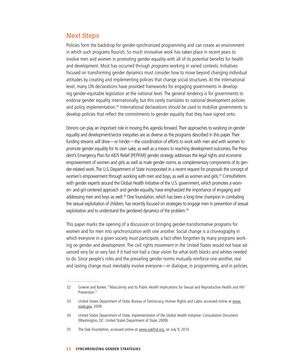### Next Steps

Policies form the backdrop for gender-synchronized programming and can create an environment in which such programs flourish. So much innovative work has taken place in recent years to involve men and women in promoting gender equality with all of its potential benefits for health and development. Most has occurred through programs working in varied contexts. Initiatives focused on transforming gender dynamics must consider how to move beyond changing individual attitudes by creating and implementing policies that change social structures. At the international level, many UN declarations have provided frameworks for engaging governments in developing gender-equitable legislation at the national level. The general tendency is for governments to endorse gender equality internationally, but this rarely translates to *national* development policies and policy implementation.<sup>32</sup> International declarations should be used to mobilize governments to develop policies that reflect the commitments to gender equality that they have signed onto.

Donors can play an important role in moving this agenda forward. Their approaches to working on gender equality and development/sector inequities are as diverse as the programs described in this paper. Their funding streams will drive—or hinder—the coordination of efforts to work with men and with women to promote gender equality for its own sake, as well as a means to reaching development outcomes. The President's Emergency Plan for AIDS Relief (PEPFAR) gender strategy addresses the legal rights and economic empowerment of women and girls as well as male gender norms as complementary components of its gender-related work. The U.S. Department of State incorporated in a recent request for proposals the concept of women's empowerment through working with men and boys, as well as women and girls.<sup>33</sup> Consultations with gender experts around the Global Health Initiative of the U.S. government, which promotes a women- and girl-centered approach and gender equality, have emphasized the importance of engaging and addressing men and boys as well.<sup>34</sup> One foundation, which has been a long-time champion in combating the sexual exploitation of children, has recently focused on strategies to engage men in prevention of sexual exploitation and to understand the gendered dynamics of the problem.<sup>35</sup>

This paper marks the opening of a discussion on bringing gender-transformative programs for women and for men into synchronization with one another. Social change is a choreography in which everyone in a given society must participate, a fact often forgotten by many programs working on gender and development. The civil rights movement in the United States would not have advanced very far or very fast if it had not had a clear vision for what both blacks and whites needed to do. Since people's roles and the prevailing gender norms mutually reinforce one another, real and lasting change must inevitably involve everyone—in dialogue, in programming, and in policies.

<sup>32</sup> Greene and Barker, "Masculinity and Its Public Health Implications for Sexual and Reproductive Health and HIV Prevention."

<sup>33</sup> United States Department of State, Bureau of Democracy, Human Rights and Labor, accessed online at [www.](www.state.gov) [state.gov](www.state.gov), 2009.

<sup>34</sup> United States Department of State, Implementation of the Global Health Initiative: Consultation Document (Washington, DC: United States Department of State, 2009).

<sup>35</sup> The Oak Foundation, accessed online at<www.oakfnd.org>, on July 9, 2010.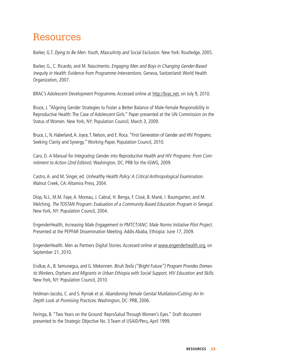## Resources

Barker, G.T. Dying to Be Men: Youth, Masculinity and Social Exclusion. New York: Routledge, 2005.

Barker, G., C. Ricardo, and M. Nascimento. Engaging Men and Boys in Changing Gender-Based Inequity in Health: Evidence from Programme Interventions. Geneva, Switzerland: World Health Organization, 2007.

BRAC's Adolescent Development Programme. Accessed online at<http://brac.net>, on July 9, 2010.

Bruce, J. "Aligning Gender Strategies to Foster a Better Balance of Male-Female Responsibility in Reproductive Health: The Case of Adolescent Girls." Paper presented at the UN Commission on the Status of Women. New York, NY: Population Council, March 3, 2009.

Bruce, J., N. Haberland, A. Joyce, T. Nelson, and E. Roca. "First Generation of Gender and HIV Programs: Seeking Clarity and Synergy." Working Paper, Population Council, 2010.

Caro, D. A Manual for Integrating Gender into Reproductive Health and HIV Programs: From Commitment to Action (2nd Edition). Washington, DC: PRB for the IGWG, 2009.

Castro, A. and M. Singer, ed. Unhealthy Health Policy: A Critical Anthropological Examination. Walnut Creek, CA: Altamira Press, 2004.

Diop, N.J., M.M. Faye, A. Moreau, J. Cabral, H. Benga, F. Cissé, B. Mané, I. Baumgarten, and M. Melching. The TOSTAN Program: Evaluation of a Community-Based Education Program in Senegal. New York, NY: Population Council, 2004.

EngenderHealth, Increasing Male Engagement in PMTCT/ANC: Male Norms Initiative Pilot Project. Presented at the PEPFAR Dissemination Meeting. Addis Ababa, Ethiopia: June 17, 2009.

EngenderHealth. Men as Partners Digital Stories. Accessed online at <www.engenderhealth.org>, on September 21, 2010.

Erulkar, A., B. Semunegus, and G. Mekonnen. Biruh Tesfa ("Bright Future") Program Provides Domestic Workers, Orphans and Migrants in Urban Ethiopia with Social Support, HIV Education and Skills. New York, NY: Population Council, 2010.

Feldman-Jacobs, C. and S. Ryniak et al. Abandoning Female Genital Mutilation/Cutting: An In-Depth Look at Promising Practices. Washington, DC: PRB, 2006.

Feringa, B. "Two Years on the Ground: ReproSalud Through Women's Eyes." Draft document presented to the Strategic Objective No. 3 Team of USAID/Peru, April 1999.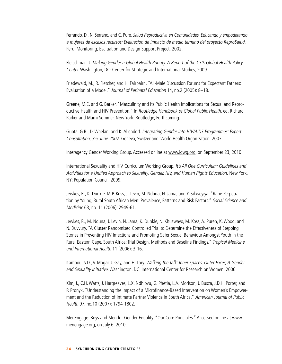Ferrando, D., N. Serrano, and C. Pure. Salud Reproductiva en Comunidades. Educando y empoderando a mujeres de escasos recursos: Evaluacion de Impacto de medio termino del proyecto ReproSalud. Peru: Monitoring, Evaluation and Design Support Project, 2002.

Fleischman, J. Making Gender a Global Health Priority: A Report of the CSIS Global Health Policy Center. Washington, DC: Center for Strategic and International Studies, 2009.

Friedewald, M., R. Fletcher, and H. Fairbairn. "All-Male Discussion Forums for Expectant Fathers: Evaluation of a Model." Journal of Perinatal Education 14, no.2 (2005): 8–18.

Greene, M.E. and G. Barker. "Masculinity and Its Public Health Implications for Sexual and Reproductive Health and HIV Prevention." In Routledge Handbook of Global Public Health, ed. Richard Parker and Marni Sommer. New York: Routledge, Forthcoming.

Gupta, G.R., D. Whelan, and K. Allendorf. Integrating Gender into HIV/AIDS Programmes: Expert Consultation, 3-5 June 2002. Geneva, Switzerland: World Health Organization, 2003.

Interagency Gender Working Group. Accessed online at [www.igwg.org,](www.igwg.org) on September 23, 2010.

International Sexuality and HIV Curriculum Working Group. It's All One Curriculum: Guidelines and Activities for a Unified Approach to Sexuality, Gender, HIV, and Human Rights Education. New York, NY: Population Council, 2009.

Jewkes, R., K. Dunkle, M.P. Koss, J. Levin, M. Nduna, N. Jama, and Y. Sikweyiya. "Rape Perpetration by Young, Rural South African Men: Prevalence, Patterns and Risk Factors." Social Science and Medicine 63, no. 11 (2006): 2949-61.

Jewkes, R., M. Nduna, J. Levin, N. Jama, K. Dunkle, N. Khuzwayo, M. Koss, A. Puren, K. Wood, and N. Duvvury. "A Cluster Randomised Controlled Trial to Determine the Effectiveness of Stepping Stones in Preventing HIV Infections and Promoting Safer Sexual Behaviour Amongst Youth in the Rural Eastern Cape, South Africa: Trial Design, Methods and Baseline Findings." Tropical Medicine and International Health 11 (2006): 3-16.

Kambou, S.D., V. Magar, J. Gay, and H. Lary. Walking the Talk: Inner Spaces, Outer Faces, A Gender and Sexuality Initiative. Washington, DC: International Center for Research on Women, 2006.

Kim, J., C.H. Watts, J. Hargreaves, L.X. Ndhlovu, G. Phetla, L.A. Morison, J. Busza, J.D.H. Porter, and P. Pronyk. "Understanding the Impact of a Microfinance-Based Intervention on Women's Empowerment and the Reduction of Intimate Partner Violence in South Africa." American Journal of Public Health 97, no.10 (2007): 1794-1802.

MenEngage: Boys and Men for Gender Equality. "Our Core Principles." Accessed online at [www.](www.menengage.org) [menengage.org](www.menengage.org), on July 6, 2010.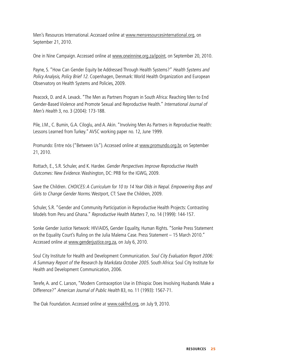Men's Resources International. Accessed online at [www.mensresourcesinternational.org,](www.mensresourcesinternational.org) on September 21, 2010.

One in Nine Campaign. Accessed online at [www.oneinnine.org.za/ipoint,](www.oneinnine.org.za/ipoint) on September 20, 2010.

Payne, S. "How Can Gender Equity be Addressed Through Health Systems?" Health Systems and Policy Analysis, Policy Brief 12. Copenhagen, Denmark: World Health Organization and European Observatory on Health Systems and Policies, 2009.

Peacock, D. and A. Levack. "The Men as Partners Program in South Africa: Reaching Men to End Gender-Based Violence and Promote Sexual and Reproductive Health." International Journal of Men's Health 3, no. 3 (2004): 173-188.

Pile, J.M., C. Bumin, G.A. Ciloglu, and A. Akin. "Involving Men As Partners in Reproductive Health: Lessons Learned from Turkey." AVSC working paper no. 12, June 1999.

Promundo: Entre nós ("Between Us"). Accessed online at<www.promundo.org.br>, on September 21, 2010.

Rottach, E., S.R. Schuler, and K. Hardee. Gender Perspectives Improve Reproductive Health Outcomes: New Evidence. Washington, DC: PRB for the IGWG, 2009.

Save the Children. CHOICES: A Curriculum for 10 to 14 Year Olds in Nepal. Empowering Boys and Girls to Change Gender Norms. Westport, CT: Save the Children, 2009.

Schuler, S.R. "Gender and Community Participation in Reproductive Health Projects: Contrasting Models from Peru and Ghana." Reproductive Health Matters 7, no. 14 (1999): 144-157.

Sonke Gender Justice Network: HIV/AIDS, Gender Equality, Human Rights. "Sonke Press Statement on the Equality Court's Ruling on the Julia Malema Case. Press Statement – 15 March 2010." Accessed online at <www.genderjustice.org.za>, on July 6, 2010.

Soul City Institute for Health and Development Communication. Soul City Evaluation Report 2006: A Summary Report of the Research by Markdata October 2005. South Africa: Soul City Institute for Health and Development Communication, 2006.

Terefe, A. and C. Larson, "Modern Contraception Use in Ethiopia: Does Involving Husbands Make a Difference?" American Journal of Public Health 83, no. 11 (1993): 1567-71.

The Oak Foundation. Accessed online at<www.oakfnd.org>, on July 9, 2010.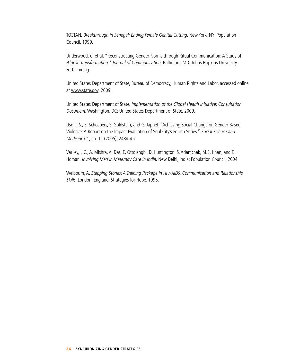TOSTAN. Breakthrough in Senegal: Ending Female Genital Cutting. New York, NY: Population Council, 1999.

Underwood, C. et al. "Reconstructing Gender Norms through Ritual Communication: A Study of African Transformation." Journal of Communication. Baltimore, MD: Johns Hopkins University, Forthcoming.

United States Department of State, Bureau of Democracy, Human Rights and Labor, accessed online at [www.state.gov,](www.state.gov) 2009.

United States Department of State. Implementation of the Global Health Initiative: Consultation Document. Washington, DC: United States Department of State, 2009.

Usdin, S., E. Scheepers, S. Goldstein, and G. Japhet. "Achieving Social Change on Gender-Based Violence: A Report on the Impact Evaluation of Soul City's Fourth Series." Social Science and Medicine 61, no. 11 (2005): 2434-45.

Varkey, L.C., A. Mishra, A. Das, E. Ottolenghi, D. Huntington, S. Adamchak, M.E. Khan, and F. Homan. Involving Men in Maternity Care in India. New Delhi, India: Population Council, 2004.

Welbourn, A. Stepping Stones: A Training Package in HIV/AIDS, Communication and Relationship Skills. London, England: Strategies for Hope, 1995.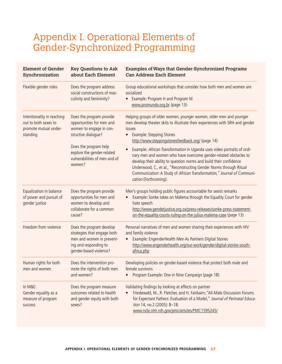## Appendix I. Operational Elements of Gender-Synchronized Programming

| <b>Element of Gender</b><br>Synchronization                                             | <b>Key Questions to Ask</b><br>about Each Element                                                                                                                                                         | Examples of Ways that Gender-Synchronized Programs<br><b>Can Address Each Element</b>                                                                                                                                                                                                                                                                                                                                                                                                                                                                                                                                                        |
|-----------------------------------------------------------------------------------------|-----------------------------------------------------------------------------------------------------------------------------------------------------------------------------------------------------------|----------------------------------------------------------------------------------------------------------------------------------------------------------------------------------------------------------------------------------------------------------------------------------------------------------------------------------------------------------------------------------------------------------------------------------------------------------------------------------------------------------------------------------------------------------------------------------------------------------------------------------------------|
| Flexible gender roles                                                                   | Does the program address<br>social constructions of mas-<br>culinity and femininity?                                                                                                                      | Group educational workshops that consider how both men and women are<br>socialized<br>Example: Program H and Program M<br>$\bullet$<br>www.promundo.org.br (page 13)                                                                                                                                                                                                                                                                                                                                                                                                                                                                         |
| Intentionality in reaching<br>out to both sexes to<br>promote mutual under-<br>standing | Does the program provide<br>opportunities for men and<br>women to engage in con-<br>structive dialogue?<br>Does the program help<br>explore the gender-related<br>vulnerabilities of men and of<br>women? | Helping groups of older women, younger women, older men and younger<br>men develop theater skits to illustrate their experiences with SRH and gender<br>issues<br>Example: Stepping Stones<br>http://www.steppingstonesfeedback.org/ (page 14)<br>Example: African Transformation in Uganda uses video portraits of ordi-<br>nary men and women who have overcome gender-related obstacles to<br>develop their ability to question norms and build their confidence<br>Underwood, C., et al., "Reconstructing Gender Norms through Ritual<br>Communication: A Study of African Transformation," Journal of Communi-<br>cation (Forthcoming). |
| Equalization in balance<br>of power and pursuit of<br>gender justice                    | Does the program provide<br>opportunities for men and<br>women to develop and<br>collaborate for a common<br>cause?                                                                                       | Men's groups holding public figures accountable for sexist remarks<br>Example: Sonke takes on Malema through the Equality Court for gender<br>hate speech<br>http://www.genderjustice.org.za/press-releases/sonke-press-statement-<br>on-the-equality-courts-ruling-on-the-julius-malema-case (page 13)                                                                                                                                                                                                                                                                                                                                      |
| Freedom from violence                                                                   | Does the program develop<br>strategies that engage both<br>men and women in prevent-<br>ing and responding to<br>gender-based violence?                                                                   | Personal narratives of men and women sharing their experiences with HIV<br>and family violence<br>Example: EngenderHealth Men As Partners Digital Stories<br>http://www.engenderhealth.org/our-work/gender/digital-stories-south-<br>africa.php                                                                                                                                                                                                                                                                                                                                                                                              |
| Human rights for both<br>men and women                                                  | Does the intervention pro-<br>mote the rights of both men<br>and women?                                                                                                                                   | Developing policies on gender-based violence that protect both male and<br>female survivors<br>Program Example: One in Nine Campaign (page 18)                                                                                                                                                                                                                                                                                                                                                                                                                                                                                               |
| In M&E:<br>Gender equality as a<br>measure of program<br>success                        | Does the program measure<br>outcomes related to health<br>and gender equity with both<br>sexes?                                                                                                           | Validating findings by looking at effects on partner<br>Friedewald, M., R. Fletcher, and H. Fairbairn, "All-Male Discussion Forums<br>for Expectant Fathers: Evaluation of a Model," Journal of Perinatal Educa-<br>tion 14, no.2 (2005): 8-18.<br>www.ncbi.nlm.nih.gov/pmc/articles/PMC1595245/                                                                                                                                                                                                                                                                                                                                             |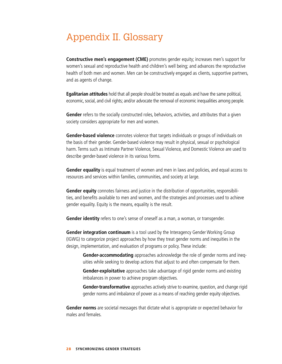## Appendix II. Glossary

**Constructive men's engagement (CME)** promotes gender equity; increases men's support for women's sexual and reproductive health and children's well being; and advances the reproductive health of both men and women. Men can be constructively engaged as clients, supportive partners, and as agents of change.

**Egalitarian attitudes** hold that all people should be treated as equals and have the same political, economic, social, and civil rights; and/or advocate the removal of economic inequalities among people.

**Gender** refers to the socially constructed roles, behaviors, activities, and attributes that a given society considers appropriate for men and women.

**Gender-based violence** connotes violence that targets individuals or groups of individuals on the basis of their gender. Gender-based violence may result in physical, sexual or psychological harm. Terms such as Intimate Partner Violence, Sexual Violence, and Domestic Violence are used to describe gender-based violence in its various forms.

**Gender equality** is equal treatment of women and men in laws and policies, and equal access to resources and services within families, communities, and society at large.

**Gender equity** connotes fairness and justice in the distribution of opportunities, responsibilities, and benefits available to men and women, and the strategies and processes used to achieve gender equality. Equity is the means, equality is the result.

**Gender identity** refers to one's sense of oneself as a man, a woman, or transgender.

**Gender integration continuum** is a tool used by the Interagency Gender Working Group (IGWG) to categorize project approaches by how they treat gender norms and inequities in the design, implementation, and evaluation of programs or policy. These include:

**Gender-accommodating** approaches acknowledge the role of gender norms and inequities while seeking to develop actions that adjust to and often compensate for them.

**Gender-exploitative** approaches take advantage of rigid gender norms and existing imbalances in power to achieve program objectives.

**Gender-transformative** approaches actively strive to examine, question, and change rigid gender norms and imbalance of power as a means of reaching gender equity objectives.

**Gender norms** are societal messages that dictate what is appropriate or expected behavior for males and females.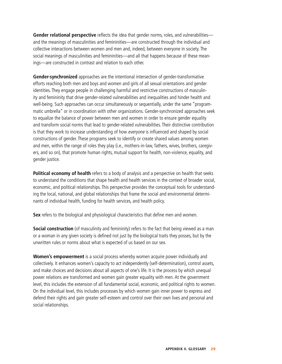**Gender relational perspective** reflects the idea that gender norms, roles, and vulnerabilities and the meanings of masculinities and femininities—are constructed through the individual and collective interactions between women and men and, indeed, between everyone in society. The social meanings of masculinities and femininities—and all that happens because of these meanings—are constructed in contrast and relation to each other.

**Gender-synchronized** approaches are the intentional intersection of gender-transformative efforts reaching both men and boys and women and girls of all sexual orientations and gender identities. They engage people in challenging harmful and restrictive constructions of masculinity and femininity that drive gender-related vulnerabilities and inequalities and hinder health and well-being. Such approaches can occur simultaneously or sequentially, under the same "programmatic umbrella" or in coordination with other organizations. Gender-synchronized approaches seek to equalize the balance of power between men and women in order to ensure gender equality and transform social norms that lead to gender-related vulnerabilities. Their distinctive contribution is that they work to increase understanding of how everyone is influenced and shaped by social constructions of gender. These programs seek to identify or create shared values among women and men, within the range of roles they play (i.e., mothers-in-law, fathers, wives, brothers, caregivers, and so on), that promote human rights, mutual support for health, non-violence, equality, and gender justice.

**Political economy of health** refers to a body of analysis and a perspective on health that seeks to understand the conditions that shape health and health services in the context of broader social, economic, and political relationships. This perspective provides the conceptual tools for understanding the local, national, and global relationships that frame the social and environmental determinants of individual health, funding for health services, and health policy.

**Sex** refers to the biological and physiological characteristics that define men and women.

**Social construction** (of masculinity and femininity) refers to the fact that being viewed as a man or a woman in any given society is defined not just by the biological traits they posses, but by the unwritten rules or norms about what is expected of us based on our sex.

**Women's empowerment** is a social process whereby women acquire power individually and collectively. It enhances women's capacity to act independently (self-determination), control assets, and make choices and decisions about all aspects of one's life. It is the process by which unequal power relations are transformed and women gain greater equality with men. At the government level, this includes the extension of all fundamental social, economic, and political rights to women. On the individual level, this includes processes by which women gain inner power to express and defend their rights and gain greater self-esteem and control over their own lives and personal and social relationships.